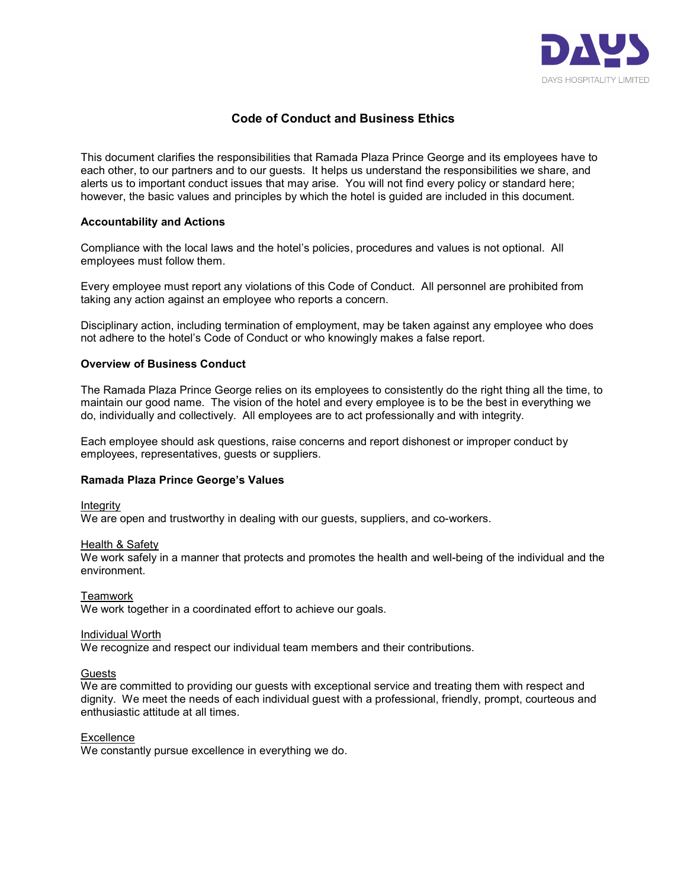

# Code of Conduct and Business Ethics

This document clarifies the responsibilities that Ramada Plaza Prince George and its employees have to each other, to our partners and to our guests. It helps us understand the responsibilities we share, and alerts us to important conduct issues that may arise. You will not find every policy or standard here; however, the basic values and principles by which the hotel is guided are included in this document.

### Accountability and Actions

Compliance with the local laws and the hotel's policies, procedures and values is not optional. All employees must follow them.

Every employee must report any violations of this Code of Conduct. All personnel are prohibited from taking any action against an employee who reports a concern.

Disciplinary action, including termination of employment, may be taken against any employee who does not adhere to the hotel's Code of Conduct or who knowingly makes a false report.

### Overview of Business Conduct

The Ramada Plaza Prince George relies on its employees to consistently do the right thing all the time, to maintain our good name. The vision of the hotel and every employee is to be the best in everything we do, individually and collectively. All employees are to act professionally and with integrity.

Each employee should ask questions, raise concerns and report dishonest or improper conduct by employees, representatives, guests or suppliers.

#### Ramada Plaza Prince George's Values

Integrity

We are open and trustworthy in dealing with our guests, suppliers, and co-workers.

Health & Safety

We work safely in a manner that protects and promotes the health and well-being of the individual and the environment.

**Teamwork** 

We work together in a coordinated effort to achieve our goals.

Individual Worth

We recognize and respect our individual team members and their contributions.

#### **Guests**

We are committed to providing our guests with exceptional service and treating them with respect and dignity. We meet the needs of each individual guest with a professional, friendly, prompt, courteous and enthusiastic attitude at all times.

#### **Excellence**

We constantly pursue excellence in everything we do.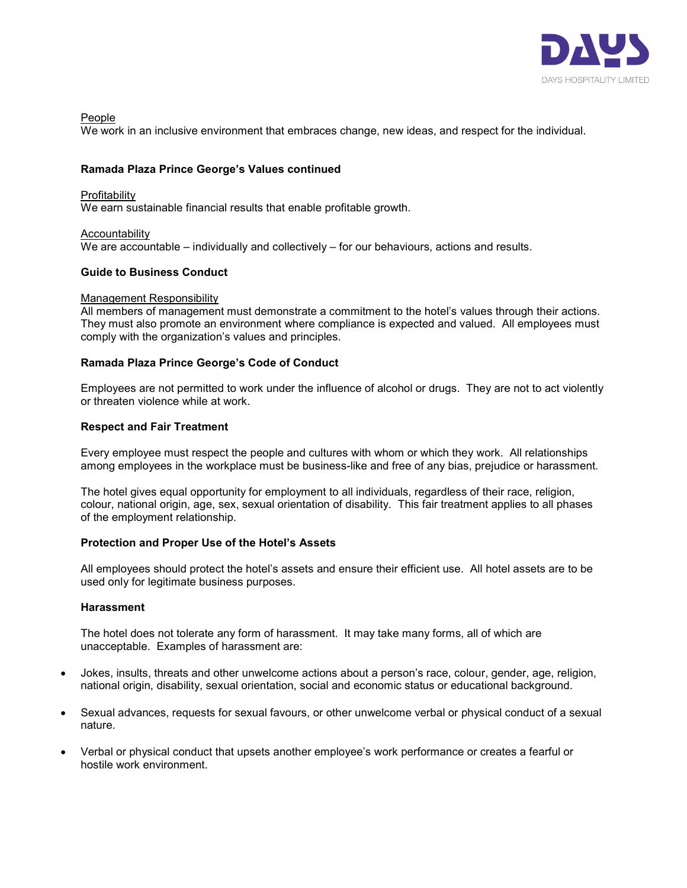

People

We work in an inclusive environment that embraces change, new ideas, and respect for the individual.

# Ramada Plaza Prince George's Values continued

### Profitability

We earn sustainable financial results that enable profitable growth.

# Accountability

We are accountable – individually and collectively – for our behaviours, actions and results.

# Guide to Business Conduct

### Management Responsibility

All members of management must demonstrate a commitment to the hotel's values through their actions. They must also promote an environment where compliance is expected and valued. All employees must comply with the organization's values and principles.

# Ramada Plaza Prince George's Code of Conduct

Employees are not permitted to work under the influence of alcohol or drugs. They are not to act violently or threaten violence while at work.

# Respect and Fair Treatment

Every employee must respect the people and cultures with whom or which they work. All relationships among employees in the workplace must be business-like and free of any bias, prejudice or harassment.

The hotel gives equal opportunity for employment to all individuals, regardless of their race, religion, colour, national origin, age, sex, sexual orientation of disability. This fair treatment applies to all phases of the employment relationship.

# Protection and Proper Use of the Hotel's Assets

All employees should protect the hotel's assets and ensure their efficient use. All hotel assets are to be used only for legitimate business purposes.

# **Harassment**

The hotel does not tolerate any form of harassment. It may take many forms, all of which are unacceptable. Examples of harassment are:

- Jokes, insults, threats and other unwelcome actions about a person's race, colour, gender, age, religion, national origin, disability, sexual orientation, social and economic status or educational background.
- Sexual advances, requests for sexual favours, or other unwelcome verbal or physical conduct of a sexual nature.
- Verbal or physical conduct that upsets another employee's work performance or creates a fearful or hostile work environment.